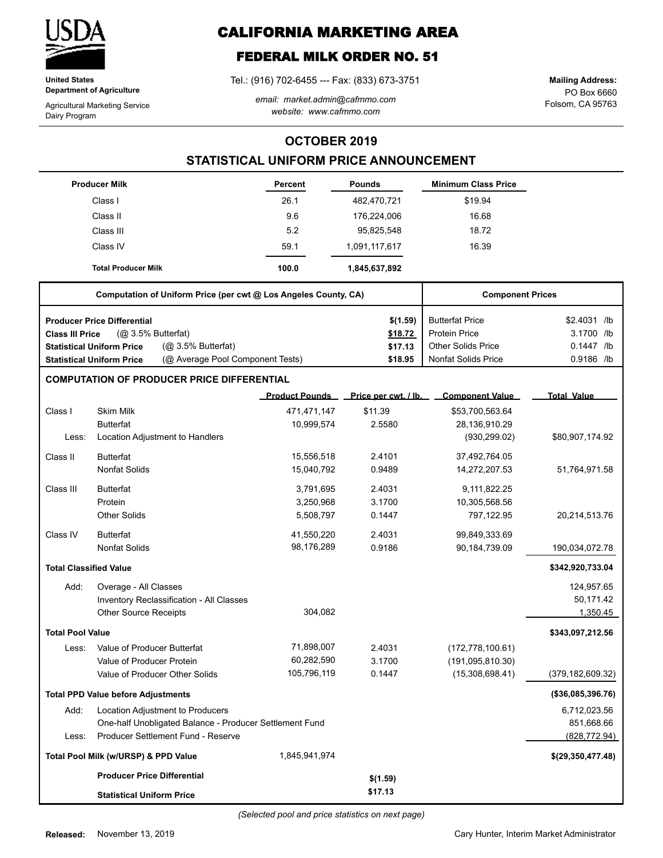

**United States Department of Agriculture**

Agricultural Marketing Service Dairy Program

# **CALIFORNIA MARKETING AREA**

## **FEDERAL MILK ORDER NO. 51**

Tel.: (916) 702-6455 --- Fax: (833) 673-3751

*email: market.admin@cafmmo.com website: www.cafmmo.com*

PO Box 6660 Folsom, CA 95763 **Mailing Address:**

### **OCTOBER 2019**

### **STATISTICAL UNIFORM PRICE ANNOUNCEMENT**

|                               | <b>Producer Milk</b>                                                 | Percent               | <b>Pounds</b>        | <b>Minimum Class Price</b> |                    |
|-------------------------------|----------------------------------------------------------------------|-----------------------|----------------------|----------------------------|--------------------|
|                               | Class I                                                              | 26.1                  | 482,470,721          | \$19.94                    |                    |
|                               | Class II                                                             | 9.6                   | 176,224,006          | 16.68                      |                    |
|                               | Class III                                                            | 5.2                   | 95,825,548           | 18.72                      |                    |
|                               | Class IV                                                             | 59.1                  | 1,091,117,617        | 16.39                      |                    |
|                               | <b>Total Producer Milk</b>                                           | 100.0                 | 1,845,637,892        |                            |                    |
|                               | Computation of Uniform Price (per cwt @ Los Angeles County, CA)      |                       |                      | <b>Component Prices</b>    |                    |
|                               | <b>Producer Price Differential</b>                                   |                       | \$(1.59)             | <b>Butterfat Price</b>     | \$2.4031 /lb       |
| <b>Class III Price</b>        | (@ 3.5% Butterfat)                                                   |                       | \$18.72              | <b>Protein Price</b>       | 3.1700 /lb         |
|                               | (@ 3.5% Butterfat)<br><b>Statistical Uniform Price</b>               |                       | \$17.13              | <b>Other Solids Price</b>  | 0.1447 /lb         |
|                               | (@ Average Pool Component Tests)<br><b>Statistical Uniform Price</b> |                       | \$18.95              | <b>Nonfat Solids Price</b> | 0.9186 /lb         |
|                               | <b>COMPUTATION OF PRODUCER PRICE DIFFERENTIAL</b>                    |                       |                      |                            |                    |
|                               |                                                                      | <b>Product Pounds</b> | Price per cwt. / lb. | <b>Component Value</b>     | <b>Total Value</b> |
| Class I                       | <b>Skim Milk</b>                                                     | 471,471,147           | \$11.39              | \$53,700,563.64            |                    |
|                               | <b>Butterfat</b>                                                     | 10,999,574            | 2.5580               | 28,136,910.29              |                    |
| Less:                         | Location Adjustment to Handlers                                      |                       |                      | (930, 299.02)              | \$80,907,174.92    |
| Class II                      | <b>Butterfat</b>                                                     | 15,556,518            | 2.4101               | 37,492,764.05              |                    |
|                               | <b>Nonfat Solids</b>                                                 | 15,040,792            | 0.9489               | 14,272,207.53              | 51,764,971.58      |
| Class III                     | <b>Butterfat</b>                                                     | 3,791,695             | 2.4031               | 9,111,822.25               |                    |
|                               | Protein                                                              | 3,250,968             | 3.1700               | 10,305,568.56              |                    |
|                               | <b>Other Solids</b>                                                  | 5,508,797             | 0.1447               | 797,122.95                 | 20,214,513.76      |
| Class IV                      | <b>Butterfat</b>                                                     | 41,550,220            | 2.4031               | 99,849,333.69              |                    |
|                               | <b>Nonfat Solids</b>                                                 | 98,176,289            | 0.9186               | 90,184,739.09              | 190,034,072.78     |
| <b>Total Classified Value</b> |                                                                      |                       |                      |                            | \$342,920,733.04   |
| Add:                          | Overage - All Classes                                                |                       |                      |                            | 124,957.65         |
|                               | Inventory Reclassification - All Classes                             |                       |                      |                            | 50,171.42          |
|                               | <b>Other Source Receipts</b>                                         | 304,082               |                      |                            | 1,350.45           |
| <b>Total Pool Value</b>       |                                                                      |                       |                      |                            | \$343,097,212.56   |
| Less:                         | Value of Producer Butterfat                                          | 71,898,007            | 2.4031               | (172, 778, 100.61)         |                    |
|                               | Value of Producer Protein                                            | 60,282,590            | 3.1700               | (191, 095, 810.30)         |                    |
|                               | Value of Producer Other Solids                                       | 105,796,119           | 0.1447               | (15,308,698.41)            | (379, 182, 609.32) |
|                               | <b>Total PPD Value before Adjustments</b>                            |                       |                      |                            | (\$36,085,396.76)  |
| Add:                          | Location Adjustment to Producers                                     |                       |                      |                            | 6,712,023.56       |
|                               | One-half Unobligated Balance - Producer Settlement Fund              |                       |                      |                            | 851,668.66         |
| Less:                         | Producer Settlement Fund - Reserve                                   |                       |                      |                            | (828, 772.94)      |
|                               | Total Pool Milk (w/URSP) & PPD Value                                 | 1,845,941,974         |                      |                            | \$(29,350,477.48)  |
|                               | <b>Producer Price Differential</b>                                   |                       | \$(1.59)             |                            |                    |
|                               | <b>Statistical Uniform Price</b>                                     |                       | \$17.13              |                            |                    |

*(Selected pool and price statistics on next page)*

Cary Hunter, Interim Market Administrator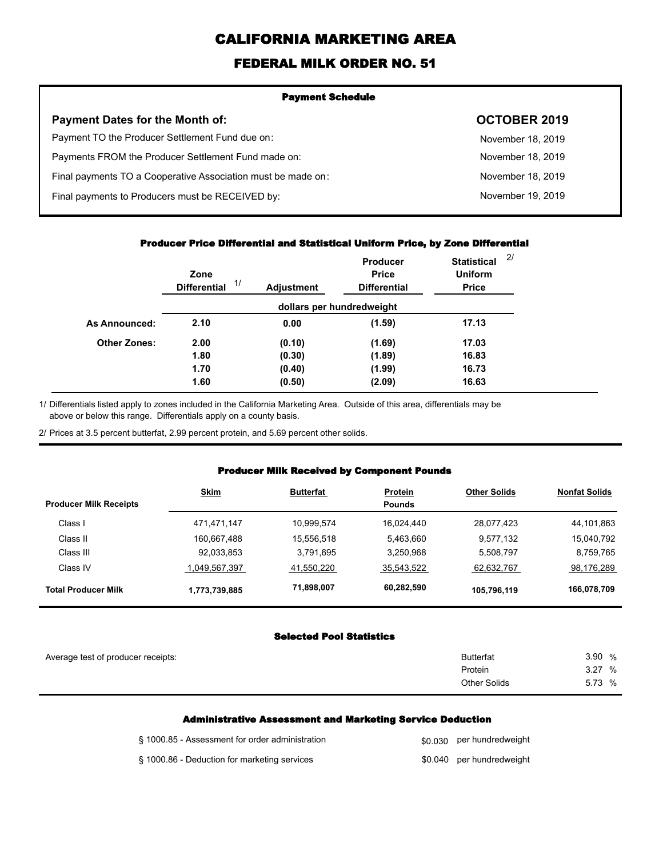# **CALIFORNIA MARKETING AREA**

## **FEDERAL MILK ORDER NO. 51**

| <b>Payment Schedule</b>                                      |                     |  |  |
|--------------------------------------------------------------|---------------------|--|--|
| <b>Payment Dates for the Month of:</b>                       | <b>OCTOBER 2019</b> |  |  |
| Payment TO the Producer Settlement Fund due on:              | November 18, 2019   |  |  |
| Payments FROM the Producer Settlement Fund made on:          | November 18, 2019   |  |  |
| Final payments TO a Cooperative Association must be made on: | November 18, 2019   |  |  |
| Final payments to Producers must be RECEIVED by:             | November 19, 2019   |  |  |
|                                                              |                     |  |  |

#### **Producer Price Differential and Statistical Uniform Price, by Zone Differential**

|                     | Zone<br>1/<br><b>Differential</b> | <b>Adjustment</b> | <b>Producer</b><br><b>Price</b><br><b>Differential</b> | <b>Statistical</b><br><b>Uniform</b><br><b>Price</b> | 2/ |
|---------------------|-----------------------------------|-------------------|--------------------------------------------------------|------------------------------------------------------|----|
|                     |                                   |                   | dollars per hundredweight                              |                                                      |    |
| As Announced:       | 2.10                              | 0.00              | (1.59)                                                 | 17.13                                                |    |
| <b>Other Zones:</b> | 2.00                              | (0.10)            | (1.69)                                                 | 17.03                                                |    |
|                     | 1.80                              | (0.30)            | (1.89)                                                 | 16.83                                                |    |
|                     | 1.70                              | (0.40)            | (1.99)                                                 | 16.73                                                |    |
|                     | 1.60                              | (0.50)            | (2.09)                                                 | 16.63                                                |    |

Differentials listed apply to zones included in the California Marketing Area. Outside of this area, differentials may be above or below this range. Differentials apply on a county basis. 1/

2/ Prices at 3.5 percent butterfat, 2.99 percent protein, and 5.69 percent other solids.

### **Producer Milk Received by Component Pounds**

|                               | <b>Skim</b>   | <b>Butterfat</b> | <b>Protein</b> | <b>Other Solids</b> | <b>Nonfat Solids</b> |
|-------------------------------|---------------|------------------|----------------|---------------------|----------------------|
| <b>Producer Milk Receipts</b> |               |                  | <b>Pounds</b>  |                     |                      |
| Class I                       | 471,471,147   | 10,999,574       | 16,024,440     | 28,077,423          | 44,101,863           |
| Class II                      | 160,667,488   | 15,556,518       | 5,463,660      | 9,577,132           | 15,040,792           |
| Class III                     | 92,033,853    | 3.791.695        | 3,250,968      | 5,508,797           | 8,759,765            |
| Class IV                      | 1.049.567.397 | 41.550.220       | 35,543,522     | 62,632,767          | 98,176,289           |
| <b>Total Producer Milk</b>    | 1,773,739,885 | 71,898,007       | 60,282,590     | 105,796,119         | 166,078,709          |

#### **Selected Pool Statistics**

| Average test of producer receipts: | <b>Butterfat</b> | 3.90 %    |
|------------------------------------|------------------|-----------|
|                                    | Protein          | %<br>3.27 |
|                                    | Other Solids     | 5.73 %    |
|                                    |                  |           |

#### **Administrative Assessment and Marketing Service Deduction**

| § 1000.85 - Assessment for order administration | \$0,030 per hundredweight |
|-------------------------------------------------|---------------------------|
| § 1000.86 - Deduction for marketing services    | \$0.040 per hundredweight |